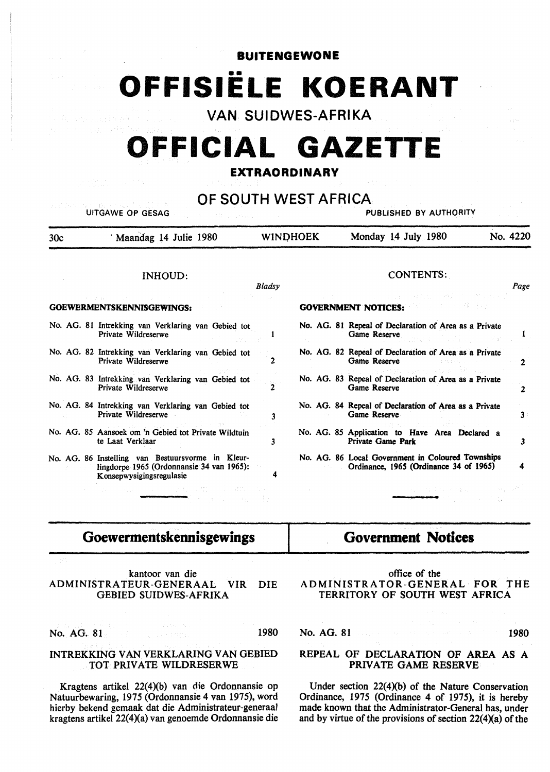# **BUITENGEWONE**  •• **OFFISIELE KOERANT**

VAN SUIDWES-AFRIKA

# **OFFICIAL GAZETTE**

### **EXTRAORDINARY**

OF SOUTH WEST AFRICA

|     | <b>UITGAWE OP GESAG</b><br>Samuel Address Services                                                                         | PUBLISHED BY AUTHORITY |                 |                                                                                             |                |
|-----|----------------------------------------------------------------------------------------------------------------------------|------------------------|-----------------|---------------------------------------------------------------------------------------------|----------------|
| 30c | 'Maandag 14 Julie 1980                                                                                                     |                        | <b>WINDHOEK</b> | Monday 14 July 1980                                                                         | No. 4220       |
|     | <b>INHOUD:</b>                                                                                                             | Bladsy                 |                 | CONTENTS:<br>in Microsoft and                                                               | Page           |
|     | <b>GOEWERMENTSKENNISGEWINGS:</b>                                                                                           |                        |                 | do 1999년 - Bask<br><b>GOVERNMENT NOTICES:</b>                                               |                |
|     | No. AG. 81 Intrekking van Verklaring van Gebied tot<br>Private Wildreserwe                                                 |                        |                 | No. AG. 81 Repeal of Declaration of Area as a Private<br>Game Reserve                       |                |
|     | No. AG. 82 Intrekking van Verklaring van Gebied tot<br>Private Wildreserwe                                                 | 2                      |                 | No. AG. 82 Repeal of Declaration of Area as a Private<br>Game Reserve                       | $\overline{2}$ |
|     | No. AG. 83 Intrekking van Verklaring van Gebied tot<br>Private Wildreserwe                                                 |                        |                 | No. AG. 83 Repeal of Declaration of Area as a Private<br>Game Reserve                       | 2              |
|     | No. AG. 84 Intrekking van Verklaring van Gebied tot<br>Private Wildreserwe                                                 | 3                      |                 | No. AG. 84 Repeal of Declaration of Area as a Private<br>Game Reserve                       | 3              |
|     | No. AG. 85 Aansoek om 'n Gebied tot Private Wildtuin<br>te Laat Verklaar                                                   | 3                      |                 | No. AG. 85 Application to Have Area Declared a<br>Private Game Park                         | 3              |
|     | No. AG. 86 Instelling van Bestuursvorme in Kleur-<br>lingdorpe 1965 (Ordonnansie 34 van 1965):<br>Konsepwysigingsregulasie |                        |                 | No. AG. 86 Local Government in Coloured Townships<br>Ordinance, 1965 (Ordinance 34 of 1965) | 4              |
|     | in kacamatan Sumar Barat, Indonesia.<br>Kabupaten Sumar Sumar Barat, Indonesia.                                            |                        |                 | - Home 설치 Home # High                                                                       |                |

### **Goewermentskennisgewings**

kantoor van die **ADMINISTRATEUR-GENERAAL VIR** DIE GEBIED **SUIDWES-AFRIKA** 

No. AG. 81 1980

#### INTREKKING VAN VERKLARING VAN GEBIED TOT PRIVATE WILDRESERWE

Kragtens artikel 22(4)(b) van die Ordonnansie op Natuurbewaring, 1975 (Ordonnansie 4 van 1975), word hierby bekend gemaak dat die Administrateur-generaaJ kragtens artikel 22(4)(a) van genoemde Ordonnansie die

## **Government Notices**

#### office of the ADMINISTRATOR-GENERAL· FOR THE TERRITORY OF SOUTH WEST AFRICA

No. AG. 81 **1980** 

#### REPEAL OF DECLARATION OF AREA AS A PRIVATE GAME RESERVE

Under section  $22(4)(b)$  of the Nature Conservation Ordinance, 1975 (Ordinance 4 of 1975), it is hereby made known that the Administrator-General has, under and by virtue of the provisions of section  $22(4)(a)$  of the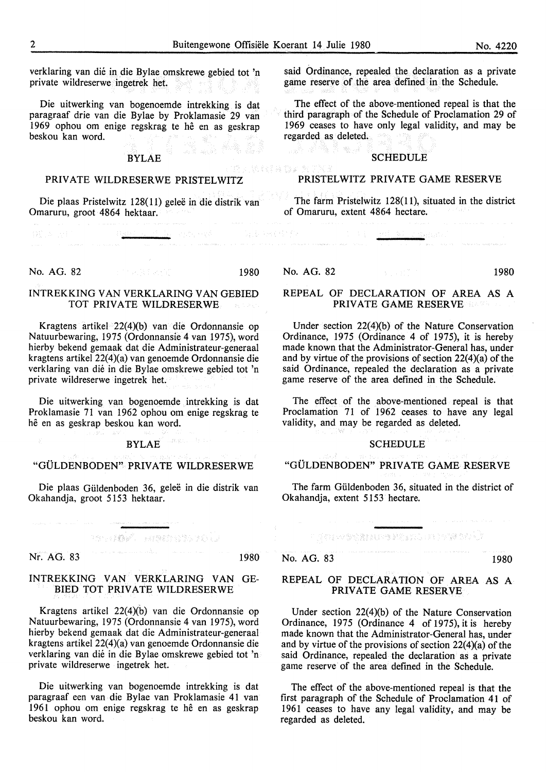verklaring van die in die Bylae omskrewe gebied tot 'n private wildreserwe ingetrek het.

Die uitwerking van bogenoemde intrekking is dat paragraaf drie van die Bylae by Proklamasie 29 van 1969 ophou om enige regskrag te he en as geskrap beskou kan word.

#### **BYLAE**

#### **PRIVATE WILDRESERWE PRISTELWITZ**

Die plaas Pristelwitz 128(11) gelee in die distrik van Omaruru, groot 4864 hektaar.

said Ordinance, repealed the declaration as a private game reserve of the area defined in the Schedule.

The effect of the above-mentioned repeal is that the third paragraph of the Schedule of Proclamation 29 of 1969 ceases to have only legal validity, and may be regarded as deleted.

#### **SCHEDULE**

#### PRISTELWITZ PRIVATE GAME RESERVE

The farm Pristelwitz 128(11), situated in the district of Omaruru, extent 4864 hectare.

| the company of the company of the company of the company of the company of<br>the committee of the com- | 「ALL TO DEVELOP 」ということは、MADの特徴によっていることができるので、それに、アナイトの大学を行われている場合の大変などになりました。 ここに、「アナイト」ということが、「CONTENTS ASSESSMENT DEVELOPMENT DEVELOPMENT DEVELOPMENT DEVELOPMENT DEVELOPMENT DEVELOPMENT DEVELOPMENT DEVELOPMENT DEVELOP |  |  |
|---------------------------------------------------------------------------------------------------------|-----------------------------------------------------------------------------------------------------------------------------------------------------------------------------------------------------------------------------|--|--|
|                                                                                                         |                                                                                                                                                                                                                             |  |  |

**No. AG. 82** 1980

#### INTREKKING VAN VERKLARING VAN GEBIED TOT PRIVATE WILDRESERWE

Kragtens artikel 22(4)(b) van die Ordonnansie op Natuurbewaring, 1975 (Ordonnansie 4 van 1975), word hierby bekend gemaak dat die Administrateur-generaal kragtens artikel 22(4)(a) van genoemde Ordonnansie die verklaring van die in die Bylae omskrewe gebied tot 'n private wildreserwe ingetrek het.

Die uitwerking van bogenoemde intrekking is dat Proklamasie 71 van 1962 ophou om enige regskrag te he en as geskrap beskou kan word.

# BYLAE<sup>Chan</sup>electric

#### "GÜLDENBODEN" PRIVATE WILDRESERWE

Die plaas Güldenboden 36, geleë in die distrik van Okahandja, groot 5153 hektaar.

te davi deen statal

Nr. AG. 83 1980

#### INTREKKING VAN VERKLARING VAN GE-BIED TOT PRIVATE WILDRESERWE

Kragtens artikel 22(4)(b) van die Ordonnansie op Natuurbewaring, 1975 (Ordonnansie 4 van 1975), word hierby bekend gemaak dat die Administrateur-generaal kragtens artikel 22(4)(a) van genoemde Ordonnansie die verklaring van die in die Bylae omskrewe gebied tot 'n private wildreserwe ingetrek het.

Die uitwerking van bogenoemde intrekking is dat paragraaf een van die Bylae van Proklamasie 41 van 1961 ophou om enige regskrag te he en as geskrap beskou kan word.

that Architect

#### No. AG. 82 1980

LA MA SA

#### REPEAL OF DECLARATION OF AREA AS A PRIVATE GAME RESERVE

Under section 22(4)(b) of the Nature Conservation Ordinance, 1975 (Ordinance 4 of 1975), it is hereby made known that the Administrator-General has, under and by virtue of the provisions of section 22(4)(a) of the said Ordinance, repealed the declaration as a private game reserve of the area defined in the Schedule.

The effect of the above-mentioned repeal is that Proclamation 71 of 1962 ceases to have any legal validity, and may be regarded as deleted.

#### SCHEDULE

#### "GULDENBODEN" PRIVATE GAME RESERVE

The farm Giildenboden 36, situated in the district of Okahandja, extent 5153 hectare.

No. AG. 83 1980

#### REPEAL OF DECLARATION OF AREA AS A PRIVATE GAME RESERVE

Under section 22(4)(b) of the Nature Conservation Ordinance, 1975 (Ordinance 4 of 1975), it is hereby made known that the Administrator-General has, under and by virtue of the provisions of section 22(4)(a) of the said Ordinance, repealed the declaration as a private game reserve of the area defined in the Schedule.

The effect of the above-mentioned repeal is that the first paragraph of the Schedule of Proclamation 41 of 1961 ceases to have any legal validity, and may be regarded as deleted.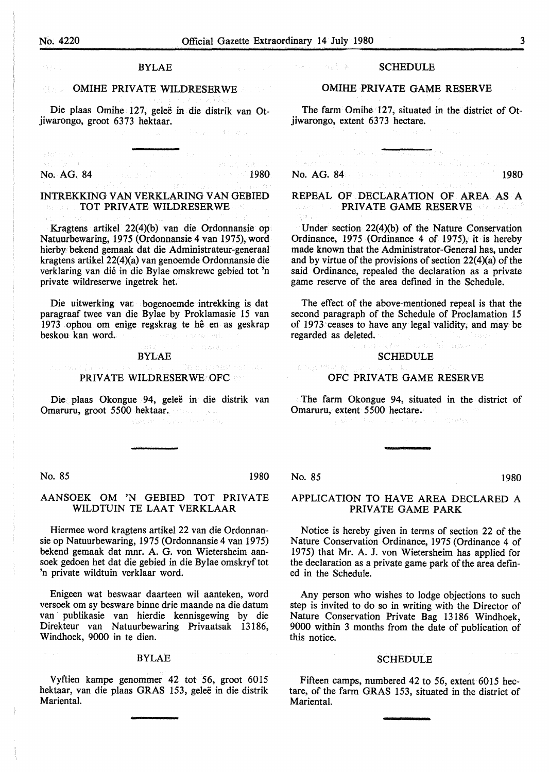#### BYLAE

#### OMIHE PRIVATE WILDRESERWE

Die plaas Omihe 127, geleë in die distrik van Otjiwarongo, groot 6373 hektaar.

No. AG. 84 1980.

#### INTREKKING VAN VERKLARING VAN GEBIED TOT PRIVATE WILDRESERWE Berner 10

Kragtens artikel  $22(4)(b)$  van die Ordonnansie op Natuurbewaring, 1975 (Ordonnansie 4 van 1975), word hierby bekend gemaak dat die Administrateur-generaal kragtens artikel  $22(4)(a)$  van genoemde Ordonnansie die verklaring van die in die Bylae omskrewe gebied tot 'n private wildreserwe ingetrek het.

Die uitwerking var; bogenoemde intrekking is dat paragraaf twee van die Bylae by Proklamasie 15 van 1973 ophou om enige regskrag te he en as geskrap beskou kan word.  $\mathcal{V}(\cdot) = \{ \mathcal{P}^{\mathcal{P}}_{\mathcal{S}}(\mathcal{P}_{\mathcal{S}}) \mid \mathcal{V} \mid \mathcal{V} \mathcal{Y} \mathcal{U} = \mathcal{Y}^{\mathcal{P}}_{\mathcal{S} \mathcal{S}}$ 

#### BYLAE

ាល ខ្ញុំ អូរ អ្នកទេ ម

#### PRIVATE WILDRESERWE OFC

Die plaas Okongue 94, geleë in die distrik van Omaruru, groot 5500 hektaar. and the company of the

No. 85 1980

#### AANSOEK OM 'N GEBIED TOT PRIVATE WILDTUIN TE LAAT VERKLAAR

Hiermee word kragtens artikel 22 van die Ordonnansie op Natuurbewaring, 1975 (Ordonnansie 4 van 1975) bekend gemaak dat mnr. A. G. von Wietersheim aansoek gedoen bet dat die gebied in die Bylae omskryf tot 'n private wildtuin verklaar word.

Enigeen wat beswaar daarteen wil aanteken, word versoek om sy besware binne drie maande na die datum van publikasie van hierdie kennisgewing by die Direkteur van Natuurbewaring Privaatsak 13186, Windhoek, 9000 in te dien.

#### BYLAE

Vyftien kampe genommer 42 tot 56, groot 6015 hektaar, van die plaas GRAS 153, geleë in die distrik Mariental.

#### **SCHEDULE**

#### OMIHE PRIVATE GAME RESERVE

The farm Omihe 127, situated in the district of Otjiwarongo, extent 6373 hectare.

No. AG. 84 1980 1980 1980 1980 1980

 $\{x_{k+1}\}^{\frac{1}{2}}$  . As

#### REPEAL OF DECLARATION OF AREA **AS A**  PRIVATE GAME RESERVE

Under section  $22(4)(b)$  of the Nature Conservation Ordinance, 1975 (Ordinance 4 of 1975), it is hereby made known that the Administrator-General has, under and by virtue of the provisions of section  $22(4)(a)$  of the said Ordinance, repealed the declaration as a private game reserve of the area defined in the Schedule.

The effect of the above-mentioned repeal is that the second paragraph of the Schedule of Proclamation 15 of 1973 ceases to have any legal validity, and may be regarded as deleted.

#### SCHEDULE

#### OFC PRIVATE GAME RESERVE

The farm Okongue 94, situated in the district of Omaruru, extent 5500 hectare.

No. 85 1980

 $R^{2,2}(\mathbb{Z}_2^2)^{-1/2}I(R)$ 

#### APPLICATION TO HAVE AREA DECLARED A PRIVATE GAME PARK

Notice is hereby given in terms of section 22 of the Nature Conservation Ordinance, 1975 (Ordinance 4 of 1975) that Mr. A. J. von Wietersheim has applied for the declaration as a private game park of the area defined in the Schedule.

Any person who wishes to lodge objections to such step is invited to do so in writing with the Director of Nature Conservation Private Bag 13186 Windhoek, 9000 within 3 months from the date of publication of this notice.

#### SCHEDULE

Fifteen camps, numbered 42 to 56, extent 6015 hectare, of the farm GRAS 153, situated in the district of Mariental.